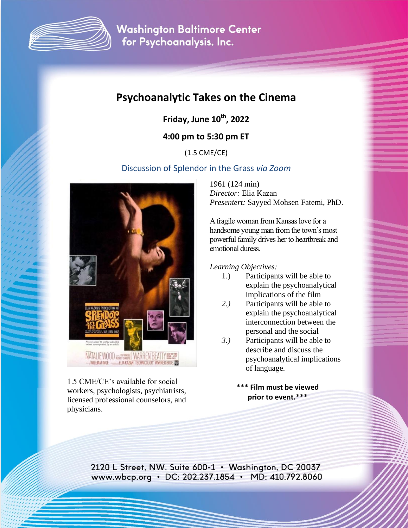

**Washington Baltimore Center** for Psychoanalysis, Inc.

# **Psychoanalytic Takes on the Cinema**

**Friday, June 10 th, 2022** 

**4:00 pm to 5:30 pm ET**

(1.5 CME/CE)

## Discussion of Splendor in the Grass *via Zoom*



1.5 CME/CE's available for social workers, psychologists, psychiatrists, licensed professional counselors, and physicians.

1961 (124 min) *Director:* Elia Kazan *Presentert:* Sayyed Mohsen Fatemi, PhD.

A fragile woman from Kansas love for a handsome young man from the town's most powerful family drives her to heartbreak and emotional duress.

*Learning Objectives:* 

- 1.) Participants will be able to explain the psychoanalytical implications of the film
- *2.)* Participants will be able to explain the psychoanalytical interconnection between the personal and the social
- *3.)* Participants will be able to describe and discuss the psychoanalytical implications of language.
	- **\*\*\* Film must be viewed prior to event.\*\*\***

2120 L Street, NW, Suite 600-1 • Washington, DC 20037 www.wbcp.org • DC: 202.237.1854 • MD: 410.792.8060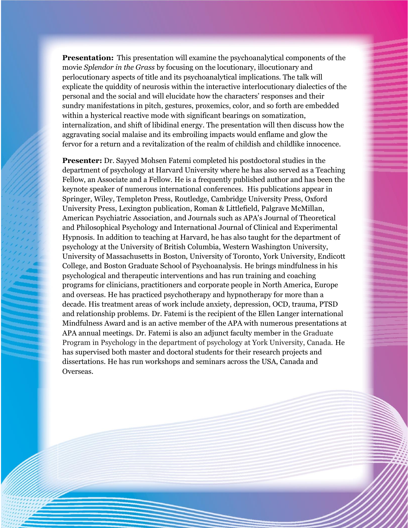**Presentation:** This presentation will examine the psychoanalytical components of the movie *Splendor in the Grass* by focusing on the locutionary, illocutionary and perlocutionary aspects of title and its psychoanalytical implications. The talk will explicate the quiddity of neurosis within the interactive interlocutionary dialectics of the personal and the social and will elucidate how the characters' responses and their sundry manifestations in pitch, gestures, proxemics, color, and so forth are embedded within a hysterical reactive mode with significant bearings on somatization, internalization, and shift of libidinal energy. The presentation will then discuss how the aggravating social malaise and its embroiling impacts would enflame and glow the fervor for a return and a revitalization of the realm of childish and childlike innocence.

**Presenter:** Dr. Sayyed Mohsen Fatemi completed his postdoctoral studies in the department of psychology at Harvard University where he has also served as a Teaching Fellow, an Associate and a Fellow. He is a frequently published author and has been the keynote speaker of numerous international conferences. His publications appear in Springer, Wiley, Templeton Press, Routledge, Cambridge University Press, Oxford University Press, Lexington publication, Roman & Littlefield, Palgrave McMillan, American Psychiatric Association, and Journals such as APA's Journal of Theoretical and Philosophical Psychology and International Journal of Clinical and Experimental Hypnosis. In addition to teaching at Harvard, he has also taught for the department of psychology at the University of British Columbia, Western Washington University, University of Massachusetts in Boston, University of Toronto, York University, Endicott College, and Boston Graduate School of Psychoanalysis. He brings mindfulness in his psychological and therapeutic interventions and has run training and coaching programs for clinicians, practitioners and corporate people in North America, Europe and overseas. He has practiced psychotherapy and hypnotherapy for more than a decade. His treatment areas of work include anxiety, depression, OCD, trauma, PTSD and relationship problems. Dr. Fatemi is the recipient of the Ellen Langer international Mindfulness Award and is an active member of the APA with numerous presentations at APA annual meetings. Dr. Fatemi is also an adjunct faculty member in the Graduate Program in Psychology in the department of psychology at York University, Canada. He has supervised both master and doctoral students for their research projects and dissertations. He has run workshops and seminars across the USA, Canada and Overseas.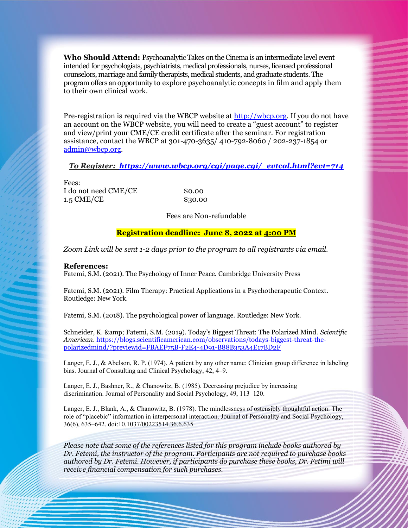**Who Should Attend:** Psychoanalytic Takes on the Cinema is an intermediate level event intended for psychologists, psychiatrists, medical professionals, nurses, licensed professional counselors, marriage and family therapists, medical students, and graduate students. The program offers an opportunity to explore psychoanalytic concepts in film and apply them to their own clinical work.

Pre-registration is required via the WBCP website at [http://wbcp.org.](http://wbcp.org/) If you do not have an account on the WBCP website, you will need to create a "guest account" to register and view/print your CME/CE credit certificate after the seminar. For registration assistance, contact the WBCP at 301-470-3635/ 410-792-8060 / 202-237-1854 or [admin@wbcp.org.](mailto:admin@wbcp.org)

#### *To Register: [https://www.wbcp.org/cgi/page.cgi/\\_evtcal.html?evt=714](https://www.wbcp.org/cgi/page.cgi/_evtcal.html?evt=714)*

Fees: I do not need CME/CE \$0.00 1.5 CME/CE \$30.00

Fees are Non-refundable

#### **Registration deadline: June 8, 2022 at 4:00 PM**

*Zoom Link will be sent 1-2 days prior to the program to all registrants via email.*

#### **References:**

Fatemi, S.M. (2021). The Psychology of Inner Peace. Cambridge University Press

Fatemi, S.M. (2021). Film Therapy: Practical Applications in a Psychotherapeutic Context. Routledge: New York.

Fatemi, S.M. (2018). The psychological power of language. Routledge: New York.

Schneider, K. & amp; Fatemi, S.M. (2019). Today's Biggest Threat: The Polarized Mind. *Scientific American*[. https://blogs.scientificamerican.com/observations/todays-biggest-threat-the](https://blogs.scientificamerican.com/observations/todays-biggest-threat-the-polarizedmind/?previewid=FBAEF75B-F2E4-4D91-B88B353A4E17BD2F)[polarizedmind/?previewid=FBAEF75B-F2E4-4D91-B88B353A4E17BD2F](https://blogs.scientificamerican.com/observations/todays-biggest-threat-the-polarizedmind/?previewid=FBAEF75B-F2E4-4D91-B88B353A4E17BD2F)

Langer, E. J., & Abelson, R. P. (1974). A patient by any other name: Clinician group difference in labeling bias. Journal of Consulting and Clinical Psychology, 42, 4–9.

Langer, E. J., Bashner, R., & Chanowitz, B. (1985). Decreasing prejudice by increasing discrimination. Journal of Personality and Social Psychology, 49, 113–120.

Langer, E. J., Blank, A., & Chanowitz, B. (1978). The mindlessness of ostensibly thoughtful action: The role of "placebic" information in interpersonal interaction. Journal of Personality and Social Psychology, 36(6), 635–642. doi:10.1037/00223514.36.6.635

*Please note that some of the references listed for this program include books authored by Dr. Fetemi, the instructor of the program. Participants are not required to purchase books authored by Dr. Fetemi. However, if participants do purchase these books, Dr. Fetimi will receive financial compensation for such purchases.*